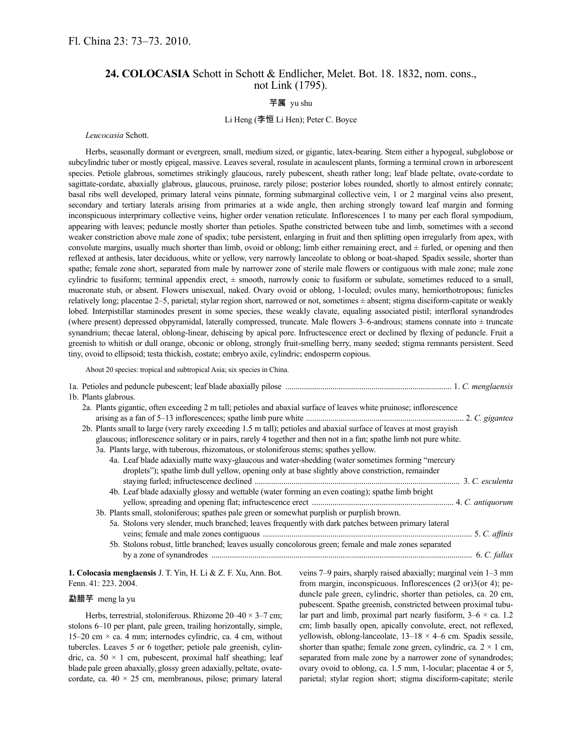# **24. COLOCASIA** Schott in Schott & Endlicher, Melet. Bot. 18. 1832, nom. cons., not Link (1795).

### 芋属 yu shu

## Li Heng (李恒 Li Hen); Peter C. Boyce

#### *Leucocasia* Schott.

Herbs, seasonally dormant or evergreen, small, medium sized, or gigantic, latex-bearing. Stem either a hypogeal, subglobose or subcylindric tuber or mostly epigeal, massive. Leaves several, rosulate in acaulescent plants, forming a terminal crown in arborescent species. Petiole glabrous, sometimes strikingly glaucous, rarely pubescent, sheath rather long; leaf blade peltate, ovate-cordate to sagittate-cordate, abaxially glabrous, glaucous, pruinose, rarely pilose; posterior lobes rounded, shortly to almost entirely connate; basal ribs well developed, primary lateral veins pinnate, forming submarginal collective vein, 1 or 2 marginal veins also present, secondary and tertiary laterals arising from primaries at a wide angle, then arching strongly toward leaf margin and forming inconspicuous interprimary collective veins, higher order venation reticulate. Inflorescences 1 to many per each floral sympodium, appearing with leaves; peduncle mostly shorter than petioles. Spathe constricted between tube and limb, sometimes with a second weaker constriction above male zone of spadix; tube persistent, enlarging in fruit and then splitting open irregularly from apex, with convolute margins, usually much shorter than limb, ovoid or oblong; limb either remaining erect, and  $\pm$  furled, or opening and then reflexed at anthesis, later deciduous, white or yellow, very narrowly lanceolate to oblong or boat-shaped. Spadix sessile, shorter than spathe; female zone short, separated from male by narrower zone of sterile male flowers or contiguous with male zone; male zone cylindric to fusiform; terminal appendix erect,  $\pm$  smooth, narrowly conic to fusiform or subulate, sometimes reduced to a small, mucronate stub, or absent. Flowers unisexual, naked. Ovary ovoid or oblong, 1-loculed; ovules many, hemiorthotropous; funicles relatively long; placentae 2–5, parietal; stylar region short, narrowed or not, sometimes ± absent; stigma disciform-capitate or weakly lobed. Interpistillar staminodes present in some species, these weakly clavate, equaling associated pistil; interfloral synandrodes (where present) depressed obpyramidal, laterally compressed, truncate. Male flowers  $3-6$ -androus; stamens connate into  $\pm$  truncate synandrium; thecae lateral, oblong-linear, dehiscing by apical pore. Infructescence erect or declined by flexing of peduncle. Fruit a greenish to whitish or dull orange, obconic or oblong, strongly fruit-smelling berry, many seeded; stigma remnants persistent. Seed tiny, ovoid to ellipsoid; testa thickish, costate; embryo axile, cylindric; endosperm copious.

About 20 species: tropical and subtropical Asia; six species in China.

| 1b. Plants glabrous.                                                                                                 |  |
|----------------------------------------------------------------------------------------------------------------------|--|
| 2a. Plants gigantic, often exceeding 2 m tall; petioles and abaxial surface of leaves white pruinose; inflorescence  |  |
| 2b. Plants small to large (very rarely exceeding 1.5 m tall); petioles and abaxial surface of leaves at most grayish |  |
| glaucous; inflorescence solitary or in pairs, rarely 4 together and then not in a fan; spathe limb not pure white.   |  |
| 3a. Plants large, with tuberous, rhizomatous, or stoloniferous stems; spathes yellow.                                |  |
| 4a. Leaf blade adaxially matte waxy-glaucous and water-shedding (water sometimes forming "mercury"                   |  |
| droplets"); spathe limb dull yellow, opening only at base slightly above constriction, remainder                     |  |
|                                                                                                                      |  |
| 4b. Leaf blade adaxially glossy and wettable (water forming an even coating); spathe limb bright                     |  |
|                                                                                                                      |  |
| 3b. Plants small, stoloniferous; spathes pale green or somewhat purplish or purplish brown.                          |  |
| 5a. Stolons very slender, much branched; leaves frequently with dark patches between primary lateral                 |  |
|                                                                                                                      |  |
| 5b. Stolons robust, little branched; leaves usually concolorous green; female and male zones separated               |  |
|                                                                                                                      |  |
|                                                                                                                      |  |

#### **1. Colocasia menglaensis** J. T. Yin, H. Li & Z. F. Xu, Ann. Bot. Fenn. 41: 223. 2004.

#### 勐腊芋 meng la yu

Herbs, terrestrial, stoloniferous. Rhizome  $20-40 \times 3-7$  cm; stolons 6–10 per plant, pale green, trailing horizontally, simple, 15–20 cm  $\times$  ca. 4 mm; internodes cylindric, ca. 4 cm, without tubercles. Leaves 5 or 6 together; petiole pale greenish, cylindric, ca.  $50 \times 1$  cm, pubescent, proximal half sheathing; leaf blade pale green abaxially, glossy green adaxially, peltate, ovatecordate, ca.  $40 \times 25$  cm, membranous, pilose; primary lateral

veins 7–9 pairs, sharply raised abaxially; marginal vein 1–3 mm from margin, inconspicuous. Inflorescences (2 or)3(or 4); peduncle pale green, cylindric, shorter than petioles, ca. 20 cm, pubescent. Spathe greenish, constricted between proximal tubular part and limb, proximal part nearly fusiform,  $3-6 \times$  ca. 1.2 cm; limb basally open, apically convolute, erect, not reflexed, yellowish, oblong-lanceolate,  $13-18 \times 4-6$  cm. Spadix sessile, shorter than spathe; female zone green, cylindric, ca.  $2 \times 1$  cm, separated from male zone by a narrower zone of synandrodes; ovary ovoid to oblong, ca. 1.5 mm, 1-locular; placentae 4 or 5, parietal; stylar region short; stigma disciform-capitate; sterile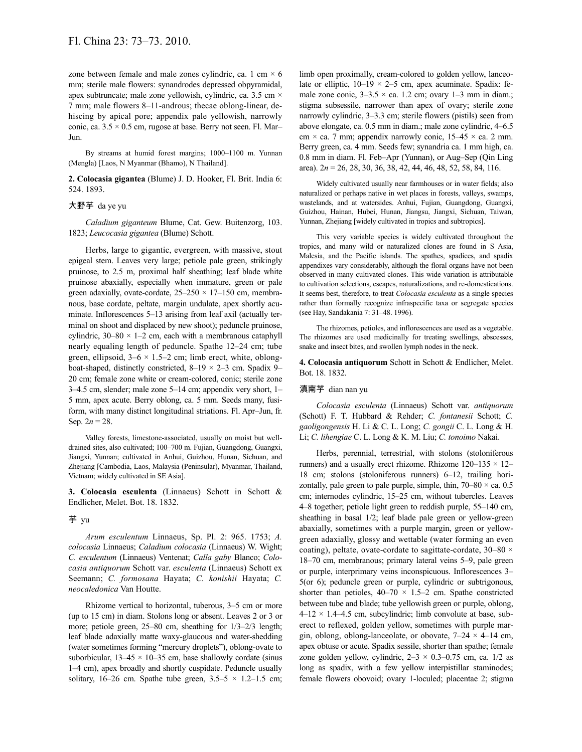zone between female and male zones cylindric, ca. 1 cm  $\times$  6 mm; sterile male flowers: synandrodes depressed obpyramidal, apex subtruncate; male zone yellowish, cylindric, ca.  $3.5 \text{ cm} \times$ 7 mm; male flowers 8–11-androus; thecae oblong-linear, dehiscing by apical pore; appendix pale yellowish, narrowly conic, ca.  $3.5 \times 0.5$  cm, rugose at base. Berry not seen. Fl. Mar-Jun.

By streams at humid forest margins; 1000–1100 m. Yunnan (Mengla) [Laos, N Myanmar (Bhamo), N Thailand].

**2. Colocasia gigantea** (Blume) J. D. Hooker, Fl. Brit. India 6: 524. 1893.

### 大野芋 da ye yu

*Caladium giganteum* Blume, Cat. Gew. Buitenzorg, 103. 1823; *Leucocasia gigantea* (Blume) Schott.

Herbs, large to gigantic, evergreen, with massive, stout epigeal stem. Leaves very large; petiole pale green, strikingly pruinose, to 2.5 m, proximal half sheathing; leaf blade white pruinose abaxially, especially when immature, green or pale green adaxially, ovate-cordate,  $25-250 \times 17-150$  cm, membranous, base cordate, peltate, margin undulate, apex shortly acuminate. Inflorescences 5–13 arising from leaf axil (actually terminal on shoot and displaced by new shoot); peduncle pruinose, cylindric,  $30-80 \times 1-2$  cm, each with a membranous cataphyll nearly equaling length of peduncle. Spathe 12–24 cm; tube green, ellipsoid,  $3-6 \times 1.5-2$  cm; limb erect, white, oblongboat-shaped, distinctly constricted,  $8-19 \times 2-3$  cm. Spadix 9– 20 cm; female zone white or cream-colored, conic; sterile zone 3–4.5 cm, slender; male zone 5–14 cm; appendix very short, 1– 5 mm, apex acute. Berry oblong, ca. 5 mm. Seeds many, fusiform, with many distinct longitudinal striations. Fl. Apr–Jun, fr. Sep.  $2n = 28$ .

Valley forests, limestone-associated, usually on moist but welldrained sites, also cultivated; 100–700 m. Fujian, Guangdong, Guangxi, Jiangxi, Yunnan; cultivated in Anhui, Guizhou, Hunan, Sichuan, and Zhejiang [Cambodia, Laos, Malaysia (Peninsular), Myanmar, Thailand, Vietnam; widely cultivated in SE Asia].

**3. Colocasia esculenta** (Linnaeus) Schott in Schott & Endlicher, Melet. Bot. 18. 1832.

#### 芋 yu

*Arum esculentum* Linnaeus, Sp. Pl. 2: 965. 1753; *A. colocasia* Linnaeus; *Caladium colocasia* (Linnaeus) W. Wight; *C. esculentum* (Linnaeus) Ventenat; *Calla gaby* Blanco; *Colocasia antiquorum* Schott var. *esculenta* (Linnaeus) Schott ex Seemann; *C. formosana* Hayata; *C. konishii* Hayata; *C. neocaledonica* Van Houtte.

Rhizome vertical to horizontal, tuberous, 3–5 cm or more (up to 15 cm) in diam. Stolons long or absent. Leaves 2 or 3 or more; petiole green, 25–80 cm, sheathing for 1/3–2/3 length; leaf blade adaxially matte waxy-glaucous and water-shedding (water sometimes forming "mercury droplets"), oblong-ovate to suborbicular,  $13-45 \times 10-35$  cm, base shallowly cordate (sinus 1–4 cm), apex broadly and shortly cuspidate. Peduncle usually solitary, 16–26 cm. Spathe tube green,  $3.5-5 \times 1.2-1.5$  cm; limb open proximally, cream-colored to golden yellow, lanceolate or elliptic,  $10-19 \times 2-5$  cm, apex acuminate. Spadix: female zone conic,  $3-3.5 \times$  ca. 1.2 cm; ovary 1-3 mm in diam.; stigma subsessile, narrower than apex of ovary; sterile zone narrowly cylindric, 3–3.3 cm; sterile flowers (pistils) seen from above elongate, ca. 0.5 mm in diam.; male zone cylindric, 4–6.5 cm  $\times$  ca. 7 mm; appendix narrowly conic, 15–45  $\times$  ca. 2 mm. Berry green, ca. 4 mm. Seeds few; synandria ca. 1 mm high, ca. 0.8 mm in diam. Fl. Feb–Apr (Yunnan), or Aug–Sep (Qin Ling area). 2*n* = 26, 28, 30, 36, 38, 42, 44, 46, 48, 52, 58, 84, 116.

Widely cultivated usually near farmhouses or in water fields; also naturalized or perhaps native in wet places in forests, valleys, swamps, wastelands, and at watersides. Anhui, Fujian, Guangdong, Guangxi, Guizhou, Hainan, Hubei, Hunan, Jiangsu, Jiangxi, Sichuan, Taiwan, Yunnan, Zhejiang [widely cultivated in tropics and subtropics].

This very variable species is widely cultivated throughout the tropics, and many wild or naturalized clones are found in S Asia, Malesia, and the Pacific islands. The spathes, spadices, and spadix appendixes vary considerably, although the floral organs have not been observed in many cultivated clones. This wide variation is attributable to cultivation selections, escapes, naturalizations, and re-domestications. It seems best, therefore, to treat *Colocasia esculenta* as a single species rather than formally recognize infraspecific taxa or segregate species (see Hay, Sandakania 7: 31–48. 1996).

The rhizomes, petioles, and inflorescences are used as a vegetable. The rhizomes are used medicinally for treating swellings, abscesses, snake and insect bites, and swollen lymph nodes in the neck.

**4. Colocasia antiquorum** Schott in Schott & Endlicher, Melet. Bot. 18. 1832.

### 滇南芋 dian nan yu

*Colocasia esculenta* (Linnaeus) Schott var. *antiquorum* (Schott) F. T. Hubbard & Rehder; *C. fontanesii* Schott; *C. gaoligongensis* H. Li & C. L. Long; *C. gongii* C. L. Long & H. Li; *C. lihengiae* C. L. Long & K. M. Liu; *C. tonoimo* Nakai.

Herbs, perennial, terrestrial, with stolons (stoloniferous runners) and a usually erect rhizome. Rhizome  $120-135 \times 12-$ 18 cm; stolons (stoloniferous runners) 6–12, trailing horizontally, pale green to pale purple, simple, thin,  $70-80 \times$  ca. 0.5 cm; internodes cylindric, 15–25 cm, without tubercles. Leaves 4–8 together; petiole light green to reddish purple, 55–140 cm, sheathing in basal 1/2; leaf blade pale green or yellow-green abaxially, sometimes with a purple margin, green or yellowgreen adaxially, glossy and wettable (water forming an even coating), peltate, ovate-cordate to sagittate-cordate,  $30-80 \times$ 18–70 cm, membranous; primary lateral veins 5–9, pale green or purple, interprimary veins inconspicuous. Inflorescences 3– 5(or 6); peduncle green or purple, cylindric or subtrigonous, shorter than petioles,  $40-70 \times 1.5-2$  cm. Spathe constricted between tube and blade; tube yellowish green or purple, oblong,  $4-12 \times 1.4-4.5$  cm, subcylindric; limb convolute at base, suberect to reflexed, golden yellow, sometimes with purple margin, oblong, oblong-lanceolate, or obovate,  $7-24 \times 4-14$  cm, apex obtuse or acute. Spadix sessile, shorter than spathe; female zone golden yellow, cylindric,  $2-3 \times 0.3-0.75$  cm, ca.  $1/2$  as long as spadix, with a few yellow interpistillar staminodes; female flowers obovoid; ovary 1-loculed; placentae 2; stigma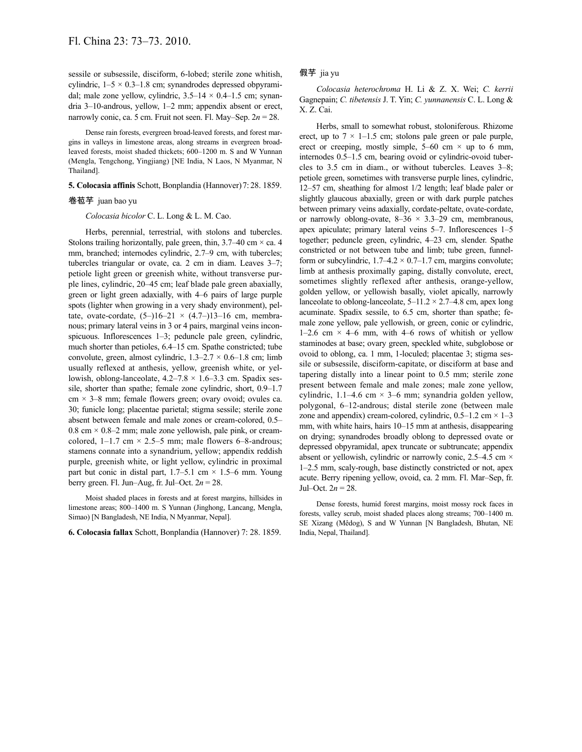sessile or subsessile, disciform, 6-lobed; sterile zone whitish, cylindric,  $1-5 \times 0.3-1.8$  cm; synandrodes depressed obpyramidal; male zone yellow, cylindric,  $3.5-14 \times 0.4-1.5$  cm; synandria 3–10-androus, yellow, 1–2 mm; appendix absent or erect, narrowly conic, ca. 5 cm. Fruit not seen. Fl. May–Sep. 2*n* = 28.

Dense rain forests, evergreen broad-leaved forests, and forest margins in valleys in limestone areas, along streams in evergreen broadleaved forests, moist shaded thickets; 600–1200 m. S and W Yunnan (Mengla, Tengchong, Yingjiang) [NE India, N Laos, N Myanmar, N Thailand].

#### **5. Colocasia affinis** Schott, Bonplandia (Hannover)7: 28. 1859.

### 卷苞芋 juan bao yu

*Colocasia bicolor* C. L. Long & L. M. Cao.

Herbs, perennial, terrestrial, with stolons and tubercles. Stolons trailing horizontally, pale green, thin,  $3.7-40$  cm  $\times$  ca. 4 mm, branched; internodes cylindric, 2.7–9 cm, with tubercles; tubercles triangular or ovate, ca. 2 cm in diam. Leaves 3–7; petiole light green or greenish white, without transverse purple lines, cylindric, 20–45 cm; leaf blade pale green abaxially, green or light green adaxially, with 4–6 pairs of large purple spots (lighter when growing in a very shady environment), peltate, ovate-cordate,  $(5-116-21 \times (4.7-113-16$  cm, membranous; primary lateral veins in 3 or 4 pairs, marginal veins inconspicuous. Inflorescences 1–3; peduncle pale green, cylindric, much shorter than petioles, 6.4–15 cm. Spathe constricted; tube convolute, green, almost cylindric,  $1.3-2.7 \times 0.6-1.8$  cm; limb usually reflexed at anthesis, yellow, greenish white, or yellowish, oblong-lanceolate,  $4.2-7.8 \times 1.6-3.3$  cm. Spadix sessile, shorter than spathe; female zone cylindric, short, 0.9–1.7  $cm \times 3-8$  mm; female flowers green; ovary ovoid; ovules ca. 30; funicle long; placentae parietal; stigma sessile; sterile zone absent between female and male zones or cream-colored, 0.5– 0.8 cm  $\times$  0.8–2 mm; male zone yellowish, pale pink, or creamcolored,  $1-1.7$  cm  $\times$  2.5–5 mm; male flowers 6–8-androus; stamens connate into a synandrium, yellow; appendix reddish purple, greenish white, or light yellow, cylindric in proximal part but conic in distal part,  $1.7-5.1$  cm  $\times$  1.5–6 mm. Young berry green. Fl. Jun–Aug, fr. Jul–Oct.  $2n = 28$ .

Moist shaded places in forests and at forest margins, hillsides in limestone areas; 800–1400 m. S Yunnan (Jinghong, Lancang, Mengla, Simao) [N Bangladesh, NE India, N Myanmar, Nepal].

**6. Colocasia fallax** Schott, Bonplandia (Hannover) 7: 28. 1859.

## 假芋 jia yu

*Colocasia heterochroma* H. Li & Z. X. Wei; *C. kerrii* Gagnepain; *C. tibetensis* J. T. Yin; *C. yunnanensis* C. L. Long & X. Z. Cai.

Herbs, small to somewhat robust, stoloniferous. Rhizome erect, up to  $7 \times 1$ –1.5 cm; stolons pale green or pale purple, erect or creeping, mostly simple,  $5-60$  cm  $\times$  up to 6 mm, internodes 0.5–1.5 cm, bearing ovoid or cylindric-ovoid tubercles to 3.5 cm in diam., or without tubercles. Leaves 3–8; petiole green, sometimes with transverse purple lines, cylindric, 12–57 cm, sheathing for almost 1/2 length; leaf blade paler or slightly glaucous abaxially, green or with dark purple patches between primary veins adaxially, cordate-peltate, ovate-cordate, or narrowly oblong-ovate,  $8-36 \times 3.3-29$  cm, membranous, apex apiculate; primary lateral veins 5–7. Inflorescences 1–5 together; peduncle green, cylindric, 4–23 cm, slender. Spathe constricted or not between tube and limb; tube green, funnelform or subcylindric,  $1.7-4.2 \times 0.7-1.7$  cm, margins convolute; limb at anthesis proximally gaping, distally convolute, erect, sometimes slightly reflexed after anthesis, orange-yellow, golden yellow, or yellowish basally, violet apically, narrowly lanceolate to oblong-lanceolate,  $5-11.2 \times 2.7-4.8$  cm, apex long acuminate. Spadix sessile, to 6.5 cm, shorter than spathe; female zone yellow, pale yellowish, or green, conic or cylindric, 1–2.6 cm  $\times$  4–6 mm, with 4–6 rows of whitish or yellow staminodes at base; ovary green, speckled white, subglobose or ovoid to oblong, ca. 1 mm, 1-loculed; placentae 3; stigma sessile or subsessile, disciform-capitate, or disciform at base and tapering distally into a linear point to 0.5 mm; sterile zone present between female and male zones; male zone yellow, cylindric, 1.1–4.6 cm  $\times$  3–6 mm; synandria golden yellow, polygonal, 6–12-androus; distal sterile zone (between male zone and appendix) cream-colored, cylindric,  $0.5-1.2$  cm  $\times$  1-3 mm, with white hairs, hairs 10–15 mm at anthesis, disappearing on drying; synandrodes broadly oblong to depressed ovate or depressed obpyramidal, apex truncate or subtruncate; appendix absent or yellowish, cylindric or narrowly conic, 2.5–4.5 cm  $\times$ 1–2.5 mm, scaly-rough, base distinctly constricted or not, apex acute. Berry ripening yellow, ovoid, ca. 2 mm. Fl. Mar–Sep, fr. Jul–Oct. 2*n* = 28.

Dense forests, humid forest margins, moist mossy rock faces in forests, valley scrub, moist shaded places along streams; 700–1400 m. SE Xizang (Mêdog), S and W Yunnan [N Bangladesh, Bhutan, NE India, Nepal, Thailand].